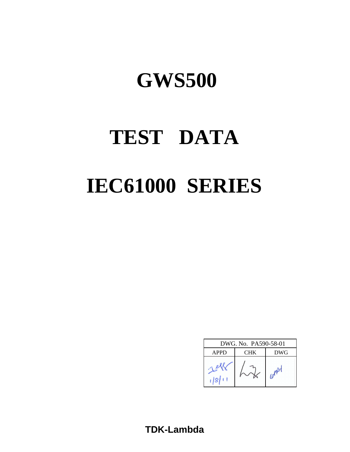# **TEST DATA IEC61000 SERIES**

| DWG. No. PA590-58-01 |            |                 |  |  |  |  |
|----------------------|------------|-----------------|--|--|--|--|
| <b>APPD</b>          | <b>DWG</b> |                 |  |  |  |  |
| 18                   |            | in <sup>p</sup> |  |  |  |  |

**TDK-Lambda**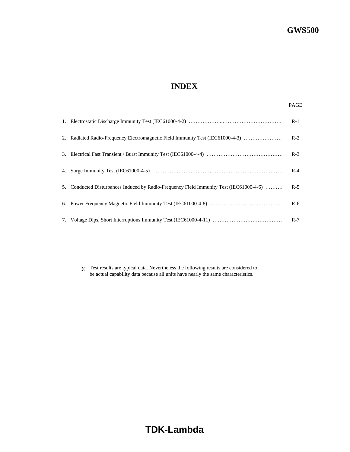# **INDEX**

|                                                                                         | $R-1$ |
|-----------------------------------------------------------------------------------------|-------|
| 2. Radiated Radio-Frequency Electromagnetic Field Immunity Test (IEC61000-4-3)          | $R-2$ |
|                                                                                         | $R-3$ |
|                                                                                         | $R-4$ |
| 5. Conducted Disturbances Induced by Radio-Frequency Field Immunity Test (IEC61000-4-6) | $R-5$ |
|                                                                                         | $R-6$ |
|                                                                                         | $R-7$ |

※ Test results are typical data. Nevertheless the following results are considered to be actual capability data because all units have nearly the same characteristics.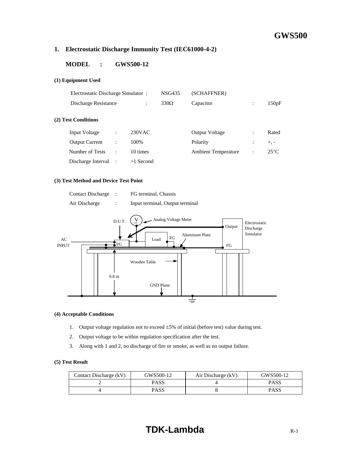#### **1. Electrostatic Discharge Immunity Test (IEC61000-4-2)**

#### **MODEL : GWS500-12**

#### **(1) Equipment Used**

| Electrostatic Discharge Simulator: |                      |                      | <b>NSG435</b> | (SCHAFFNER)                |                |                |
|------------------------------------|----------------------|----------------------|---------------|----------------------------|----------------|----------------|
| Discharge Resistance               |                      | $\ddot{\phantom{a}}$ | $330\Omega$   | Capacitor                  | $\ddot{\cdot}$ | 150pF          |
| (2) Test Conditions                |                      |                      |               |                            |                |                |
| <b>Input Voltage</b>               | ÷                    | $230$ VAC            |               | <b>Output Voltage</b>      | $\ddot{\cdot}$ | Rated          |
| <b>Output Current</b>              | $\ddot{\cdot}$       | 100%                 |               | Polarity                   | $\ddot{\cdot}$ | $+$ , $-$      |
| Number of Tests                    | $\ddot{\phantom{a}}$ | 10 times             |               | <b>Ambient Temperature</b> | $\ddot{\cdot}$ | $25^{\circ}$ C |
| Discharge Interval :               |                      | $>1$ Second          |               |                            |                |                |

#### **(3) Test Method and Device Test Point**

| <b>Contact Discharge</b> | FG terminal, Chassis            |
|--------------------------|---------------------------------|
| Air Discharge            | Input terminal, Output terminal |



#### **(4) Acceptable Conditions**

- 1. Output voltage regulation not to exceed ±5% of initial (before test) value during test.
- 2. Output voltage to be within regulation specification after the test.
- 3. Along with 1 and 2, no discharge of fire or smoke, as well as no output failure.

| Contact Discharge (kV) | GWS500-12 | Air Discharge (kV) | GWS500-12   |
|------------------------|-----------|--------------------|-------------|
|                        | PASS      |                    | <b>PASS</b> |
|                        | PASS      |                    | <b>PASS</b> |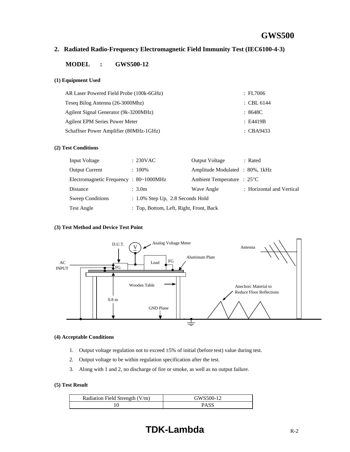#### **2. Radiated Radio-Frequency Electromagnetic Field Immunity Test (IEC6100-4-3)**

#### **MODEL : GWS500-12**

#### **(1) Equipment Used**

| AR Laser Powered Field Probe (100k-6GHz) | : FL7006             |
|------------------------------------------|----------------------|
| Teseg Bilog Antenna (26-3000Mhz)         | : CBL 6144           |
| Agilent Signal Generator (9k-3200MHz)    | : 8648C              |
| <b>Agilent EPM Series Power Meter</b>    | $\pm$ E4419B         |
| Schaffner Power Amplifier (80MHz-1GHz)   | $\therefore$ CBA9433 |

#### **(2) Test Conditions**

| Input Voltage                                         | $: 230$ VAC                             | <b>Output Voltage</b>                | : Rated                   |
|-------------------------------------------------------|-----------------------------------------|--------------------------------------|---------------------------|
| <b>Output Current</b>                                 | $: 100\%$                               | Amplitude Modulated : 80%, 1kHz      |                           |
| Electromagnetic Frequency : $80 \sim 1000 \text{MHz}$ |                                         | Ambient Temperature : $25^{\circ}$ C |                           |
| Distance                                              | : 3.0m                                  | Wave Angle                           | : Horizontal and Vertical |
| <b>Sweep Conditions</b>                               | $: 1.0\%$ Step Up, 2.8 Seconds Hold     |                                      |                           |
| Test Angle                                            | : Top, Bottom, Left, Right, Front, Back |                                      |                           |

#### **(3) Test Method and Device Test Point**



#### **(4) Acceptable Conditions**

- 1. Output voltage regulation not to exceed  $\pm 5\%$  of initial (before test) value during test.
- 2. Output voltage to be within regulation specification after the test.
- 3. Along with 1 and 2, no discharge of fire or smoke, as well as no output failure.

#### **(5) Test Result**

| Radiation Field Strength $(V/m)$ | GWS500-12   |
|----------------------------------|-------------|
|                                  | <b>PASS</b> |

# **TDK-Lambda** R-2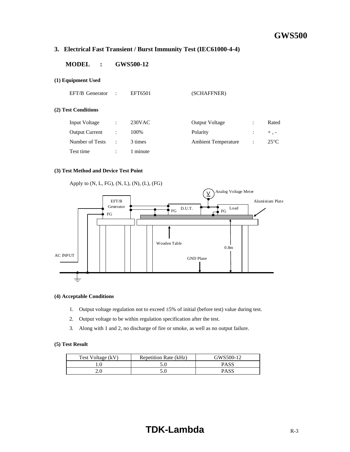#### **3. Electrical Fast Transient / Burst Immunity Test (IEC61000-4-4)**

#### **MODEL : GWS500-12**

#### **(1) Equipment Used**

 $(2)$ 

| EFT/B Generator       | $\ddot{\phantom{a}}$ | EFT6501   | (SCHAFFNER)                |                      |                |
|-----------------------|----------------------|-----------|----------------------------|----------------------|----------------|
| (2) Test Conditions   |                      |           |                            |                      |                |
| Input Voltage         | ÷                    | $230$ VAC | <b>Output Voltage</b>      | $\ddot{\phantom{a}}$ | Rated          |
| <b>Output Current</b> | ÷                    | 100%      | Polarity                   | $\ddot{\cdot}$       | $+$ , -        |
| Number of Tests       | ÷                    | 3 times   | <b>Ambient Temperature</b> | $\ddot{\cdot}$       | $25^{\circ}$ C |
| Test time             | $\ddot{\phantom{a}}$ | 1 minute  |                            |                      |                |
|                       |                      |           |                            |                      |                |

#### **(3) Test Method and Device Test Point**



#### **(4) Acceptable Conditions**

- 1. Output voltage regulation not to exceed ±5% of initial (before test) value during test.
- 2. Output voltage to be within regulation specification after the test.
- 3. Along with 1 and 2, no discharge of fire or smoke, as well as no output failure.

| Test Voltage (kV) | Repetition Rate (kHz) | GWS500-12 |
|-------------------|-----------------------|-----------|
|                   |                       | PASS      |
| 2.0               |                       | PASS      |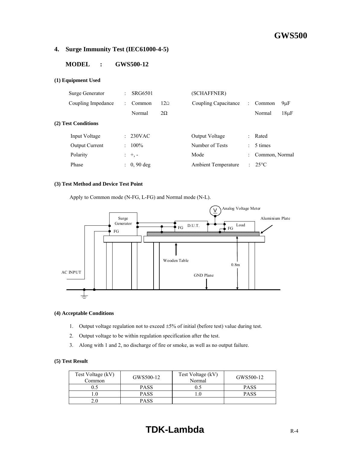#### **4. Surge Immunity Test (IEC61000-4-5)**

#### **MODEL : GWS500-12**

#### **(1) Equipment Used**

| SRG6501     |                      | (SCHAFFNER)                |                      |                |                 |
|-------------|----------------------|----------------------------|----------------------|----------------|-----------------|
| Common      | $12\Omega$           | Coupling Capacitance       | ÷                    | Common         | $9\mu F$        |
| Normal      | $2\Omega$            |                            |                      | Normal         | $18\mu F$       |
|             |                      |                            |                      |                |                 |
|             |                      | Output Voltage             | ÷.                   | Rated          |                 |
| $100\%$     |                      | Number of Tests            |                      | 5 times        |                 |
|             |                      | Mode                       | $\ddot{\phantom{0}}$ | Common, Normal |                 |
| $0, 90$ deg |                      | <b>Ambient Temperature</b> |                      |                |                 |
|             | $230$ VAC<br>$: +,-$ |                            |                      |                | $: 25^{\circ}C$ |

#### **(3) Test Method and Device Test Point**

Apply to Common mode (N-FG, L-FG) and Normal mode (N-L).



#### **(4) Acceptable Conditions**

- 1. Output voltage regulation not to exceed ±5% of initial (before test) value during test.
- 2. Output voltage to be within regulation specification after the test.
- 3. Along with 1 and 2, no discharge of fire or smoke, as well as no output failure.

#### **(5) Test Result**

| Test Voltage (kV)<br>Common | GWS500-12   | Test Voltage (kV)<br>Normal | GWS500-12   |
|-----------------------------|-------------|-----------------------------|-------------|
| ).5                         | <b>PASS</b> | 0.5                         | <b>PASS</b> |
|                             | <b>PASS</b> |                             | <b>PASS</b> |
| 2.0                         | <b>PASS</b> |                             |             |

# **TDK-Lambda** R-4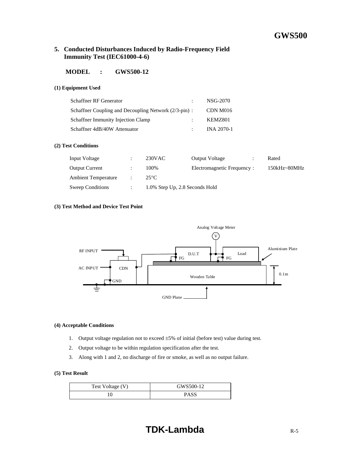#### **5. Conducted Disturbances Induced by Radio-Frequency Field Immunity Test (IEC61000-4-6)**

#### **MODEL : GWS500-12**

#### **(1) Equipment Used**

| <b>Schaffner RF Generator</b>                         | NSG-2070   |
|-------------------------------------------------------|------------|
| Schaffner Coupling and Decoupling Network (2/3-pin) : | CDN M016   |
| <b>Schaffner Immunity Injection Clamp</b>             | KEMZ801    |
| Schaffner 4dB/40W Attenuator                          | INA 2070-1 |

#### **(2) Test Conditions**

| Input Voltage              | 230VAC         | <b>Output Voltage</b>          | Rated            |
|----------------------------|----------------|--------------------------------|------------------|
| <b>Output Current</b>      | 100\%          | Electromagnetic Frequency:     | $150kHz - 80MHz$ |
| <b>Ambient Temperature</b> | $25^{\circ}$ C |                                |                  |
| Sweep Conditions           |                | 1.0% Step Up, 2.8 Seconds Hold |                  |

#### **(3) Test Method and Device Test Point**



#### **(4) Acceptable Conditions**

- 1. Output voltage regulation not to exceed ±5% of initial (before test) value during test.
- 2. Output voltage to be within regulation specification after the test.
- 3. Along with 1 and 2, no discharge of fire or smoke, as well as no output failure.

| Test Voltage (V) | GWS500-12 |
|------------------|-----------|
|                  | PASS      |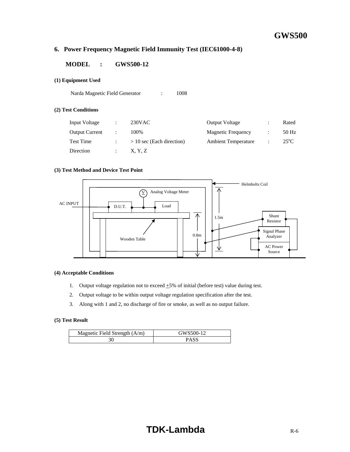#### **6. Power Frequency Magnetic Field Immunity Test (IEC61000-4-8)**

#### **MODEL : GWS500-12**

#### **(1) Equipment Used**

Narda Magnetic Field Generator : 1008

#### **(2) Test Conditions**

| Input Voltage         | $230$ VAC                   | <b>Output Voltage</b>      | Rated          |
|-----------------------|-----------------------------|----------------------------|----------------|
| <b>Output Current</b> | 100%                        | <b>Magnetic Frequency</b>  | 50 Hz          |
| Test Time             | $> 10$ sec (Each direction) | <b>Ambient Temperature</b> | $25^{\circ}$ C |
| Direction             | X. Y. Z                     |                            |                |

#### **(3) Test Method and Device Test Point**



#### **(4) Acceptable Conditions**

- 1. Output voltage regulation not to exceed  $\pm$ 5% of initial (before test) value during test.
- 2. Output voltage to be within output voltage regulation specification after the test.
- 3. Along with 1 and 2, no discharge of fire or smoke, as well as no output failure.

| Magnetic Field Strength $(A/m)$ | GWS500-12 |
|---------------------------------|-----------|
|                                 |           |